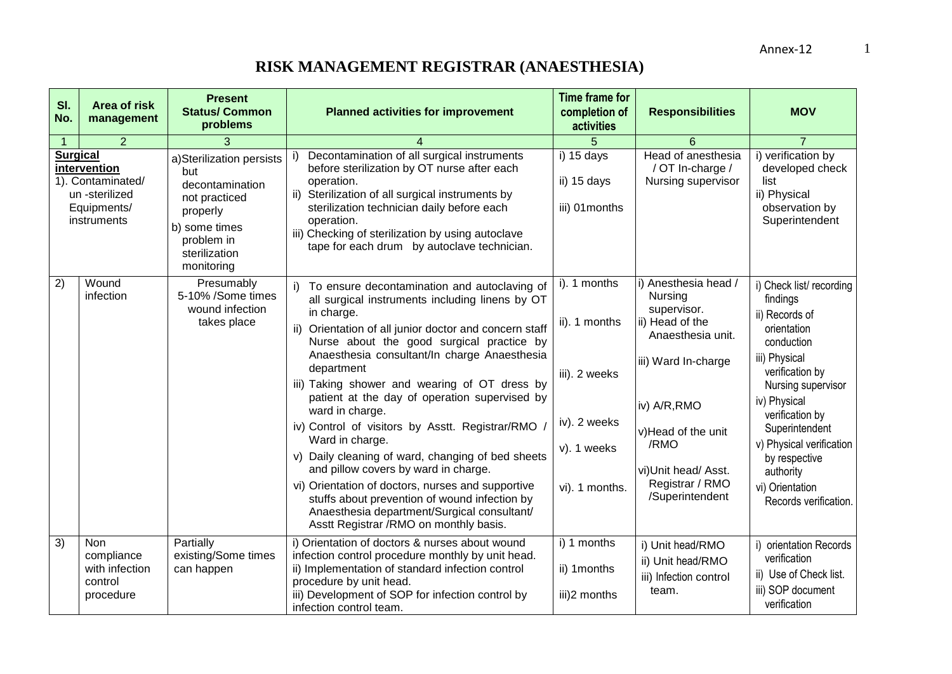| SI.<br>No.                                                                                           | Area of risk<br>management                                         | <b>Present</b><br><b>Status/ Common</b><br>problems                                                                                           | <b>Planned activities for improvement</b>                                                                                                                                                                                                                                                                                                                                                                                                                                                                                                                                                                                                                                                                                                                                   | <b>Time frame for</b><br>completion of<br>activities                                            | <b>Responsibilities</b>                                                                                                                                                                                                  | <b>MOV</b>                                                                                                                                                                                                                                                                                              |
|------------------------------------------------------------------------------------------------------|--------------------------------------------------------------------|-----------------------------------------------------------------------------------------------------------------------------------------------|-----------------------------------------------------------------------------------------------------------------------------------------------------------------------------------------------------------------------------------------------------------------------------------------------------------------------------------------------------------------------------------------------------------------------------------------------------------------------------------------------------------------------------------------------------------------------------------------------------------------------------------------------------------------------------------------------------------------------------------------------------------------------------|-------------------------------------------------------------------------------------------------|--------------------------------------------------------------------------------------------------------------------------------------------------------------------------------------------------------------------------|---------------------------------------------------------------------------------------------------------------------------------------------------------------------------------------------------------------------------------------------------------------------------------------------------------|
| $\blacktriangleleft$                                                                                 | 2                                                                  | 3                                                                                                                                             |                                                                                                                                                                                                                                                                                                                                                                                                                                                                                                                                                                                                                                                                                                                                                                             | 5                                                                                               | 6                                                                                                                                                                                                                        | $\overline{7}$                                                                                                                                                                                                                                                                                          |
| <b>Surgical</b><br>intervention<br>1). Contaminated/<br>un -sterilized<br>Equipments/<br>instruments |                                                                    | a)Sterilization persists<br>but<br>decontamination<br>not practiced<br>properly<br>b) some times<br>problem in<br>sterilization<br>monitoring | Decontamination of all surgical instruments<br>i)<br>before sterilization by OT nurse after each<br>operation.<br>ii) Sterilization of all surgical instruments by<br>sterilization technician daily before each<br>operation.<br>iii) Checking of sterilization by using autoclave<br>tape for each drum by autoclave technician.                                                                                                                                                                                                                                                                                                                                                                                                                                          | i) 15 days<br>ii) 15 days<br>iii) 01 months                                                     | Head of anesthesia<br>/ OT In-charge /<br>Nursing supervisor                                                                                                                                                             | i) verification by<br>developed check<br>list<br>ii) Physical<br>observation by<br>Superintendent                                                                                                                                                                                                       |
| 2)                                                                                                   | Wound<br>infection                                                 | Presumably<br>5-10% /Some times<br>wound infection<br>takes place                                                                             | To ensure decontamination and autoclaving of<br>all surgical instruments including linens by OT<br>in charge.<br>ii) Orientation of all junior doctor and concern staff<br>Nurse about the good surgical practice by<br>Anaesthesia consultant/In charge Anaesthesia<br>department<br>iii) Taking shower and wearing of OT dress by<br>patient at the day of operation supervised by<br>ward in charge.<br>iv) Control of visitors by Asstt. Registrar/RMO /<br>Ward in charge.<br>v) Daily cleaning of ward, changing of bed sheets<br>and pillow covers by ward in charge.<br>vi) Orientation of doctors, nurses and supportive<br>stuffs about prevention of wound infection by<br>Anaesthesia department/Surgical consultant/<br>Asstt Registrar /RMO on monthly basis. | i). 1 months<br>ii). 1 months<br>iii). 2 weeks<br>iv). 2 weeks<br>v). 1 weeks<br>vi). 1 months. | i) Anesthesia head /<br>Nursing<br>supervisor.<br>ii) Head of the<br>Anaesthesia unit.<br>iii) Ward In-charge<br>iv) A/R, RMO<br>v)Head of the unit<br>/RMO<br>vi)Unit head/ Asst.<br>Registrar / RMO<br>/Superintendent | i) Check list/recording<br>findings<br>ii) Records of<br>orientation<br>conduction<br>iii) Physical<br>verification by<br>Nursing supervisor<br>iv) Physical<br>verification by<br>Superintendent<br>v) Physical verification<br>by respective<br>authority<br>vi) Orientation<br>Records verification. |
| $\overline{3)}$                                                                                      | <b>Non</b><br>compliance<br>with infection<br>control<br>procedure | Partially<br>existing/Some times<br>can happen                                                                                                | i) Orientation of doctors & nurses about wound<br>infection control procedure monthly by unit head.<br>ii) Implementation of standard infection control<br>procedure by unit head.<br>iii) Development of SOP for infection control by<br>infection control team.                                                                                                                                                                                                                                                                                                                                                                                                                                                                                                           | i) 1 months<br>ii) 1 months<br>iii)2 months                                                     | i) Unit head/RMO<br>ii) Unit head/RMO<br>iii) Infection control<br>team.                                                                                                                                                 | i) orientation Records<br>verification<br>ii) Use of Check list.<br>iii) SOP document<br>verification                                                                                                                                                                                                   |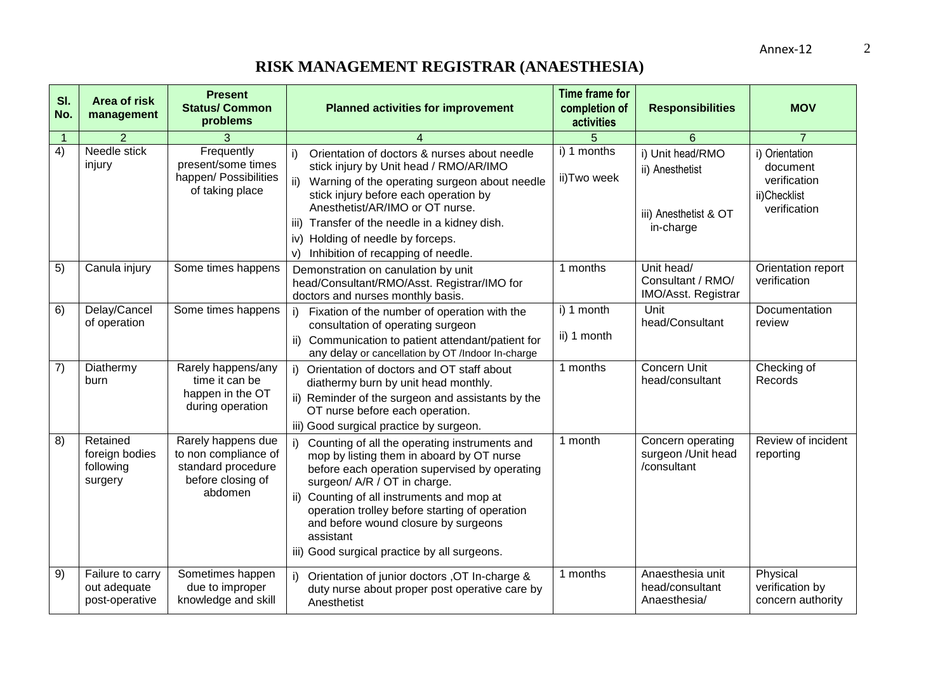| SI.<br>No.     | <b>Area of risk</b><br>management                  | <b>Present</b><br><b>Status/ Common</b><br>problems                                              | <b>Planned activities for improvement</b>                                                                                                                                                                                                                                                                                                                                              | <b>Time frame for</b><br>completion of<br>activities | <b>Responsibilities</b>                                                   | <b>MOV</b>                                                                 |
|----------------|----------------------------------------------------|--------------------------------------------------------------------------------------------------|----------------------------------------------------------------------------------------------------------------------------------------------------------------------------------------------------------------------------------------------------------------------------------------------------------------------------------------------------------------------------------------|------------------------------------------------------|---------------------------------------------------------------------------|----------------------------------------------------------------------------|
| $\overline{1}$ | $\mathcal{P}$                                      |                                                                                                  |                                                                                                                                                                                                                                                                                                                                                                                        | 5                                                    | 6                                                                         | $\overline{7}$                                                             |
| $\overline{4}$ | Needle stick<br>injury                             | Frequently<br>present/some times<br>happen/ Possibilities<br>of taking place                     | Orientation of doctors & nurses about needle<br>i)<br>stick injury by Unit head / RMO/AR/IMO<br>ii) Warning of the operating surgeon about needle<br>stick injury before each operation by<br>Anesthetist/AR/IMO or OT nurse.<br>iii) Transfer of the needle in a kidney dish.<br>iv) Holding of needle by forceps.<br>Inhibition of recapping of needle.<br>V)                        | i) 1 months<br>ii)Two week                           | i) Unit head/RMO<br>ii) Anesthetist<br>iii) Anesthetist & OT<br>in-charge | i) Orientation<br>document<br>verification<br>ii)Checklist<br>verification |
| 5)             | Canula injury                                      | Some times happens                                                                               | Demonstration on canulation by unit<br>head/Consultant/RMO/Asst. Registrar/IMO for<br>doctors and nurses monthly basis.                                                                                                                                                                                                                                                                | 1 months                                             | Unit head/<br>Consultant / RMO/<br>IMO/Asst. Registrar                    | Orientation report<br>verification                                         |
| 6)             | Delay/Cancel<br>of operation                       | Some times happens                                                                               | i) Fixation of the number of operation with the<br>consultation of operating surgeon<br>ii) Communication to patient attendant/patient for<br>any delay or cancellation by OT /Indoor In-charge                                                                                                                                                                                        | $\overline{1}$ 1 month<br>ii) 1 month                | Unit<br>head/Consultant                                                   | Documentation<br>review                                                    |
| 7)             | Diathermy<br>burn                                  | Rarely happens/any<br>time it can be<br>happen in the OT<br>during operation                     | i) Orientation of doctors and OT staff about<br>diathermy burn by unit head monthly.<br>ii) Reminder of the surgeon and assistants by the<br>OT nurse before each operation.<br>iii) Good surgical practice by surgeon.                                                                                                                                                                | 1 months                                             | Concern Unit<br>head/consultant                                           | Checking of<br>Records                                                     |
| 8)             | Retained<br>foreign bodies<br>following<br>surgery | Rarely happens due<br>to non compliance of<br>standard procedure<br>before closing of<br>abdomen | Counting of all the operating instruments and<br>i)<br>mop by listing them in aboard by OT nurse<br>before each operation supervised by operating<br>surgeon/ A/R / OT in charge.<br>ii) Counting of all instruments and mop at<br>operation trolley before starting of operation<br>and before wound closure by surgeons<br>assistant<br>iii) Good surgical practice by all surgeons. | 1 month                                              | Concern operating<br>surgeon /Unit head<br>/consultant                    | Review of incident<br>reporting                                            |
| 9)             | Failure to carry<br>out adequate<br>post-operative | Sometimes happen<br>due to improper<br>knowledge and skill                                       | i) Orientation of junior doctors , OT In-charge &<br>duty nurse about proper post operative care by<br>Anesthetist                                                                                                                                                                                                                                                                     | 1 months                                             | Anaesthesia unit<br>head/consultant<br>Anaesthesia/                       | Physical<br>verification by<br>concern authority                           |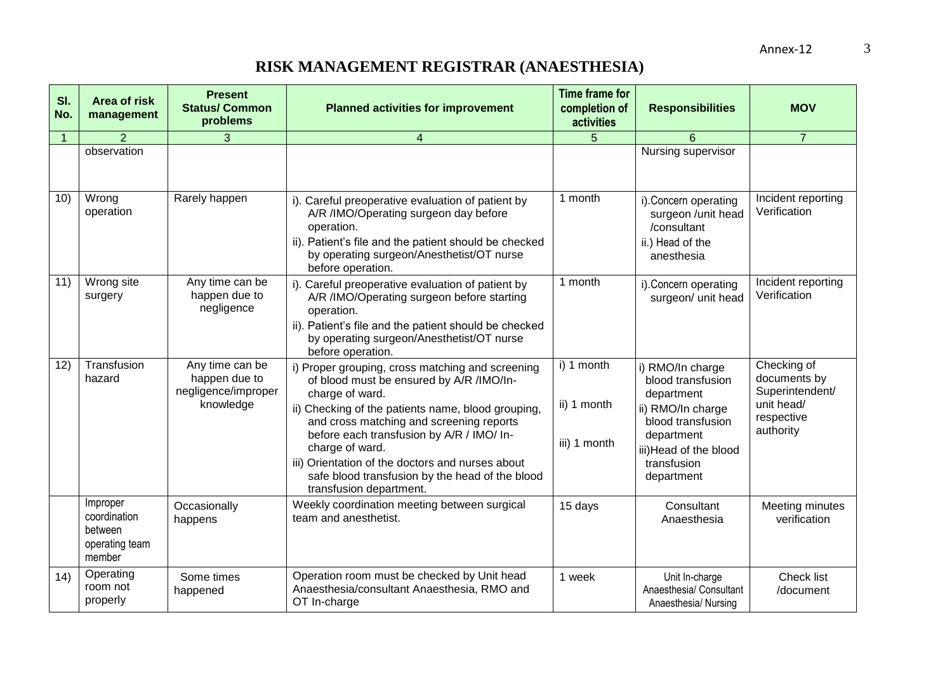| SI.<br>No.     | Area of risk<br>management                                      | <b>Present</b><br><b>Status/ Common</b><br>problems                  | <b>Planned activities for improvement</b>                                                                                                                                                                                                                                                                                                                                                                           | <b>Time frame for</b><br>completion of<br>activities | <b>Responsibilities</b>                                                                                                                                            | <b>MOV</b>                                                                              |
|----------------|-----------------------------------------------------------------|----------------------------------------------------------------------|---------------------------------------------------------------------------------------------------------------------------------------------------------------------------------------------------------------------------------------------------------------------------------------------------------------------------------------------------------------------------------------------------------------------|------------------------------------------------------|--------------------------------------------------------------------------------------------------------------------------------------------------------------------|-----------------------------------------------------------------------------------------|
| $\overline{1}$ | 2                                                               | 3                                                                    | $\overline{\mathbf{4}}$                                                                                                                                                                                                                                                                                                                                                                                             | 5                                                    | 6                                                                                                                                                                  | $\overline{7}$                                                                          |
|                | observation                                                     |                                                                      |                                                                                                                                                                                                                                                                                                                                                                                                                     |                                                      | Nursing supervisor                                                                                                                                                 |                                                                                         |
| 10)            | Wrong<br>operation                                              | Rarely happen                                                        | i). Careful preoperative evaluation of patient by<br>A/R /IMO/Operating surgeon day before<br>operation.<br>ii). Patient's file and the patient should be checked<br>by operating surgeon/Anesthetist/OT nurse<br>before operation.                                                                                                                                                                                 | 1 month                                              | i). Concern operating<br>surgeon /unit head<br>/consultant<br>ii.) Head of the<br>anesthesia                                                                       | Incident reporting<br>Verification                                                      |
| 11)            | Wrong site<br>surgery                                           | Any time can be<br>happen due to<br>negligence                       | i). Careful preoperative evaluation of patient by<br>A/R /IMO/Operating surgeon before starting<br>operation.<br>ii). Patient's file and the patient should be checked<br>by operating surgeon/Anesthetist/OT nurse<br>before operation.                                                                                                                                                                            | 1 month                                              | i). Concern operating<br>surgeon/ unit head                                                                                                                        | Incident reporting<br>Verification                                                      |
| 12)            | Transfusion<br>hazard                                           | Any time can be<br>happen due to<br>negligence/improper<br>knowledge | i) Proper grouping, cross matching and screening<br>of blood must be ensured by A/R /IMO/In-<br>charge of ward.<br>ii) Checking of the patients name, blood grouping,<br>and cross matching and screening reports<br>before each transfusion by A/R / IMO/ In-<br>charge of ward.<br>iii) Orientation of the doctors and nurses about<br>safe blood transfusion by the head of the blood<br>transfusion department. | i) 1 month<br>ii) 1 month<br>iii) 1 month            | i) RMO/In charge<br>blood transfusion<br>department<br>ii) RMO/In charge<br>blood transfusion<br>department<br>iii) Head of the blood<br>transfusion<br>department | Checking of<br>documents by<br>Superintendent/<br>unit head/<br>respective<br>authority |
|                | Improper<br>coordination<br>between<br>operating team<br>member | Occasionally<br>happens                                              | Weekly coordination meeting between surgical<br>team and anesthetist.                                                                                                                                                                                                                                                                                                                                               | 15 days                                              | Consultant<br>Anaesthesia                                                                                                                                          | Meeting minutes<br>verification                                                         |
| 14)            | Operating<br>room not<br>properly                               | Some times<br>happened                                               | Operation room must be checked by Unit head<br>Anaesthesia/consultant Anaesthesia, RMO and<br>OT In-charge                                                                                                                                                                                                                                                                                                          | 1 week                                               | Unit In-charge<br>Anaesthesia/ Consultant<br>Anaesthesia/ Nursing                                                                                                  | Check list<br>/document                                                                 |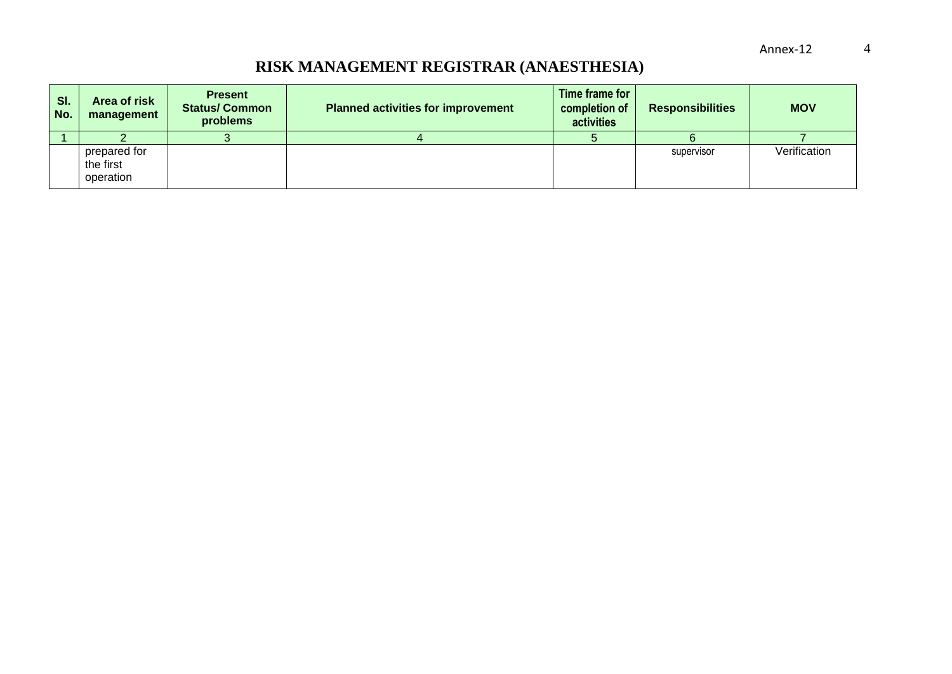| SI.<br>No. | Area of risk<br>management             | <b>Present</b><br><b>Status/Common</b><br>problems | <b>Planned activities for improvement</b> | Time frame for<br>completion of<br>activities | <b>Responsibilities</b> | <b>MOV</b>   |
|------------|----------------------------------------|----------------------------------------------------|-------------------------------------------|-----------------------------------------------|-------------------------|--------------|
|            |                                        |                                                    |                                           |                                               |                         |              |
|            | prepared for<br>the first<br>operation |                                                    |                                           |                                               | supervisor              | Verification |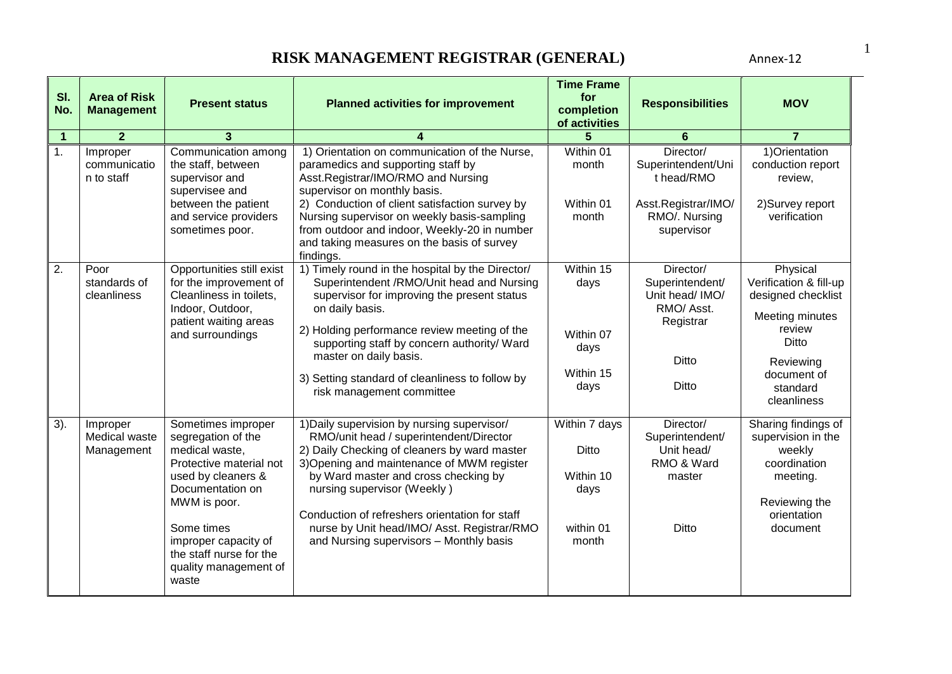| SI.<br>No.           | <b>Area of Risk</b><br><b>Management</b> | <b>Present status</b>                                                                                                                                                                                                                              | <b>Planned activities for improvement</b>                                                                                                                                                                                                                                                                                                                                                               | <b>Time Frame</b><br>for<br>completion<br>of activities           | <b>Responsibilities</b>                                                                             | <b>MOV</b>                                                                                                                                            |
|----------------------|------------------------------------------|----------------------------------------------------------------------------------------------------------------------------------------------------------------------------------------------------------------------------------------------------|---------------------------------------------------------------------------------------------------------------------------------------------------------------------------------------------------------------------------------------------------------------------------------------------------------------------------------------------------------------------------------------------------------|-------------------------------------------------------------------|-----------------------------------------------------------------------------------------------------|-------------------------------------------------------------------------------------------------------------------------------------------------------|
| $\blacktriangleleft$ | $\overline{2}$                           | 3                                                                                                                                                                                                                                                  |                                                                                                                                                                                                                                                                                                                                                                                                         |                                                                   | 6                                                                                                   | $\overline{7}$                                                                                                                                        |
| 1.                   | Improper<br>communicatio<br>n to staff   | Communication among<br>the staff, between<br>supervisor and<br>supervisee and<br>between the patient<br>and service providers<br>sometimes poor.                                                                                                   | 1) Orientation on communication of the Nurse,<br>paramedics and supporting staff by<br>Asst.Registrar/IMO/RMO and Nursing<br>supervisor on monthly basis.<br>2) Conduction of client satisfaction survey by<br>Nursing supervisor on weekly basis-sampling<br>from outdoor and indoor, Weekly-20 in number<br>and taking measures on the basis of survey<br>findings.                                   | Within 01<br>month<br>Within 01<br>month                          | Director/<br>Superintendent/Uni<br>t head/RMO<br>Asst.Registrar/IMO/<br>RMO/. Nursing<br>supervisor | 1) Orientation<br>conduction report<br>review,<br>2) Survey report<br>verification                                                                    |
| 2.                   | Poor<br>standards of<br>cleanliness      | Opportunities still exist<br>for the improvement of<br>Cleanliness in toilets,<br>Indoor, Outdoor,<br>patient waiting areas<br>and surroundings                                                                                                    | 1) Timely round in the hospital by the Director/<br>Superintendent /RMO/Unit head and Nursing<br>supervisor for improving the present status<br>on daily basis.<br>2) Holding performance review meeting of the<br>supporting staff by concern authority/ Ward<br>master on daily basis.<br>3) Setting standard of cleanliness to follow by<br>risk management committee                                | Within 15<br>days<br>Within 07<br>days<br>Within 15<br>days       | Director/<br>Superintendent/<br>Unit head/ IMO/<br>RMO/Asst.<br>Registrar<br><b>Ditto</b><br>Ditto  | Physical<br>Verification & fill-up<br>designed checklist<br>Meeting minutes<br>review<br>Ditto<br>Reviewing<br>document of<br>standard<br>cleanliness |
| 3).                  | Improper<br>Medical waste<br>Management  | Sometimes improper<br>segregation of the<br>medical waste,<br>Protective material not<br>used by cleaners &<br>Documentation on<br>MWM is poor.<br>Some times<br>improper capacity of<br>the staff nurse for the<br>quality management of<br>waste | 1) Daily supervision by nursing supervisor/<br>RMO/unit head / superintendent/Director<br>2) Daily Checking of cleaners by ward master<br>3) Opening and maintenance of MWM register<br>by Ward master and cross checking by<br>nursing supervisor (Weekly)<br>Conduction of refreshers orientation for staff<br>nurse by Unit head/IMO/ Asst. Registrar/RMO<br>and Nursing supervisors - Monthly basis | Within 7 days<br>Ditto<br>Within 10<br>days<br>within 01<br>month | Director/<br>Superintendent/<br>Unit head/<br>RMO & Ward<br>master<br><b>Ditto</b>                  | Sharing findings of<br>supervision in the<br>weekly<br>coordination<br>meeting.<br>Reviewing the<br>orientation<br>document                           |

1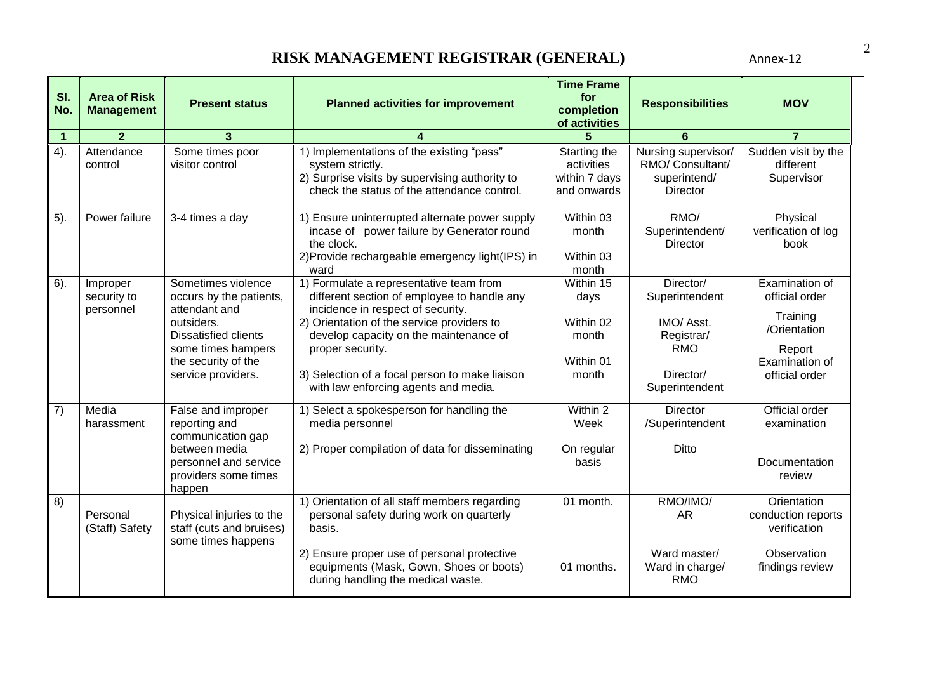| SI.<br>No.     | <b>Area of Risk</b><br><b>Management</b> | <b>Present status</b>                                                                                                                                                          | <b>Planned activities for improvement</b>                                                                                                                                                                                                                                                                                         | <b>Time Frame</b><br>for<br>completion<br>of activities       | <b>Responsibilities</b>                                                                              | <b>MOV</b>                                                                                                 |
|----------------|------------------------------------------|--------------------------------------------------------------------------------------------------------------------------------------------------------------------------------|-----------------------------------------------------------------------------------------------------------------------------------------------------------------------------------------------------------------------------------------------------------------------------------------------------------------------------------|---------------------------------------------------------------|------------------------------------------------------------------------------------------------------|------------------------------------------------------------------------------------------------------------|
| $\overline{1}$ | $\overline{2}$                           | 3                                                                                                                                                                              |                                                                                                                                                                                                                                                                                                                                   |                                                               | 6                                                                                                    | $\overline{7}$                                                                                             |
| 4).            | Attendance<br>control                    | Some times poor<br>visitor control                                                                                                                                             | 1) Implementations of the existing "pass"<br>system strictly.<br>2) Surprise visits by supervising authority to<br>check the status of the attendance control.                                                                                                                                                                    | Starting the<br>activities<br>within 7 days<br>and onwards    | Nursing supervisor/<br>RMO/ Consultant/<br>superintend/<br>Director                                  | Sudden visit by the<br>different<br>Supervisor                                                             |
| 5).            | Power failure                            | 3-4 times a day                                                                                                                                                                | 1) Ensure uninterrupted alternate power supply<br>incase of power failure by Generator round<br>the clock.<br>2) Provide rechargeable emergency light (IPS) in<br>ward                                                                                                                                                            | Within 03<br>month<br>Within 03<br>month                      | RMO/<br>Superintendent/<br><b>Director</b>                                                           | Physical<br>verification of log<br>book                                                                    |
| $6$ ).         | Improper<br>security to<br>personnel     | Sometimes violence<br>occurs by the patients,<br>attendant and<br>outsiders.<br><b>Dissatisfied clients</b><br>some times hampers<br>the security of the<br>service providers. | 1) Formulate a representative team from<br>different section of employee to handle any<br>incidence in respect of security.<br>2) Orientation of the service providers to<br>develop capacity on the maintenance of<br>proper security.<br>3) Selection of a focal person to make liaison<br>with law enforcing agents and media. | Within 15<br>days<br>Within 02<br>month<br>Within 01<br>month | Director/<br>Superintendent<br>IMO/ Asst.<br>Registrar/<br><b>RMO</b><br>Director/<br>Superintendent | Examination of<br>official order<br>Training<br>/Orientation<br>Report<br>Examination of<br>official order |
| 7)             | Media<br>harassment                      | False and improper<br>reporting and<br>communication gap<br>between media<br>personnel and service<br>providers some times<br>happen                                           | 1) Select a spokesperson for handling the<br>media personnel<br>2) Proper compilation of data for disseminating                                                                                                                                                                                                                   | Within 2<br>Week<br>On regular<br>basis                       | <b>Director</b><br>/Superintendent<br><b>Ditto</b>                                                   | Official order<br>examination<br>Documentation<br>review                                                   |
| 8)             | Personal<br>(Staff) Safety               | Physical injuries to the<br>staff (cuts and bruises)<br>some times happens                                                                                                     | 1) Orientation of all staff members regarding<br>personal safety during work on quarterly<br>basis.<br>2) Ensure proper use of personal protective<br>equipments (Mask, Gown, Shoes or boots)<br>during handling the medical waste.                                                                                               | 01 month.<br>01 months.                                       | RMO/IMO/<br><b>AR</b><br>Ward master/<br>Ward in charge/<br><b>RMO</b>                               | Orientation<br>conduction reports<br>verification<br>Observation<br>findings review                        |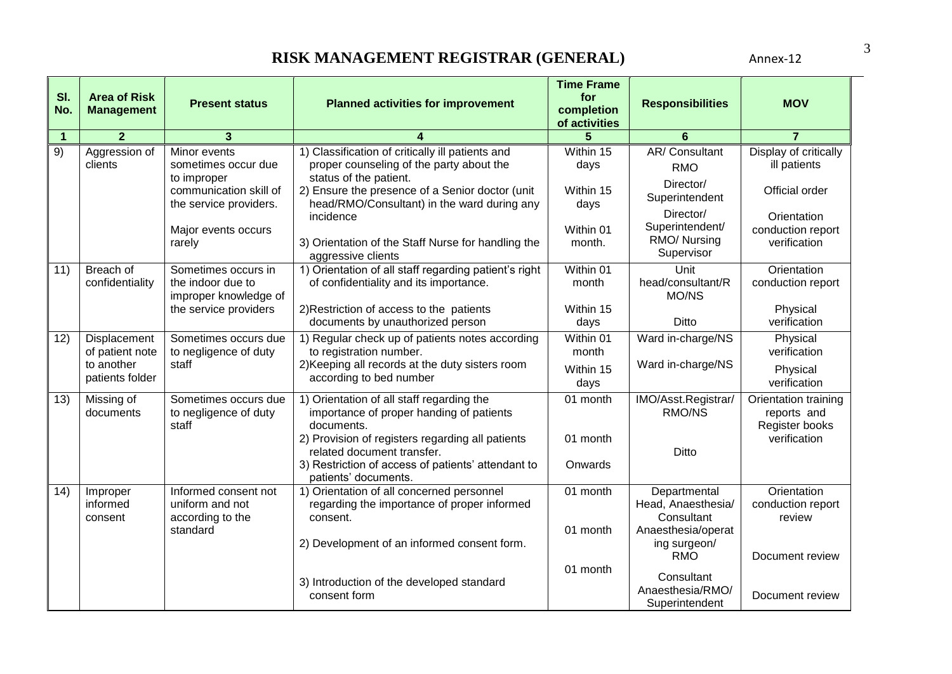| SI.<br>No.     | <b>Area of Risk</b><br><b>Management</b> | <b>Present status</b>                                                        | <b>Planned activities for improvement</b>                                                                              | <b>Time Frame</b><br>for<br>completion<br>of activities | <b>Responsibilities</b>                          | <b>MOV</b>                                              |
|----------------|------------------------------------------|------------------------------------------------------------------------------|------------------------------------------------------------------------------------------------------------------------|---------------------------------------------------------|--------------------------------------------------|---------------------------------------------------------|
| $\overline{1}$ | $\overline{2}$                           | $\mathbf{3}$                                                                 |                                                                                                                        |                                                         | 6                                                | $\overline{7}$                                          |
| 9)             | Aggression of<br>clients                 | Minor events<br>sometimes occur due<br>to improper<br>communication skill of | 1) Classification of critically ill patients and<br>proper counseling of the party about the<br>status of the patient. | Within 15<br>days<br>Within 15                          | AR/Consultant<br><b>RMO</b><br>Director/         | Display of critically<br>ill patients<br>Official order |
|                |                                          | the service providers.                                                       | 2) Ensure the presence of a Senior doctor (unit<br>head/RMO/Consultant) in the ward during any<br>incidence            | days                                                    | Superintendent<br>Director/                      | Orientation                                             |
|                |                                          | Major events occurs<br>rarely                                                | 3) Orientation of the Staff Nurse for handling the<br>aggressive clients                                               | Within 01<br>month.                                     | Superintendent/<br>RMO/ Nursing<br>Supervisor    | conduction report<br>verification                       |
| 11)            | Breach of<br>confidentiality             | Sometimes occurs in<br>the indoor due to<br>improper knowledge of            | 1) Orientation of all staff regarding patient's right<br>of confidentiality and its importance.                        | Within 01<br>month                                      | Unit<br>head/consultant/R<br>MO/NS               | Orientation<br>conduction report                        |
|                |                                          | the service providers                                                        | 2) Restriction of access to the patients<br>documents by unauthorized person                                           | Within 15<br>days                                       | Ditto                                            | Physical<br>verification                                |
| 12)            | Displacement<br>of patient note          | Sometimes occurs due<br>to negligence of duty                                | 1) Regular check up of patients notes according<br>to registration number.                                             | Within 01<br>month                                      | Ward in-charge/NS                                | Physical<br>verification                                |
|                | to another<br>patients folder            | staff                                                                        | 2) Keeping all records at the duty sisters room<br>according to bed number                                             | Within 15<br>days                                       | Ward in-charge/NS                                | Physical<br>verification                                |
| 13)            | Missing of<br>documents                  | Sometimes occurs due<br>to negligence of duty<br>staff                       | 1) Orientation of all staff regarding the<br>importance of proper handing of patients<br>documents.                    | 01 month                                                | IMO/Asst.Registrar/<br>RMO/NS                    | Orientation training<br>reports and<br>Register books   |
|                |                                          |                                                                              | 2) Provision of registers regarding all patients<br>related document transfer.                                         | 01 month                                                | <b>Ditto</b>                                     | verification                                            |
|                |                                          |                                                                              | 3) Restriction of access of patients' attendant to<br>patients' documents.                                             | Onwards                                                 |                                                  |                                                         |
| 14)            | Improper<br>informed<br>consent          | Informed consent not<br>uniform and not<br>according to the                  | 1) Orientation of all concerned personnel<br>regarding the importance of proper informed<br>consent.                   | 01 month                                                | Departmental<br>Head, Anaesthesia/<br>Consultant | Orientation<br>conduction report<br>review              |
|                |                                          | standard                                                                     | 2) Development of an informed consent form.                                                                            | 01 month                                                | Anaesthesia/operat<br>ing surgeon/<br><b>RMO</b> | Document review                                         |
|                |                                          |                                                                              | 3) Introduction of the developed standard<br>consent form                                                              | 01 month                                                | Consultant<br>Anaesthesia/RMO/<br>Superintendent | Document review                                         |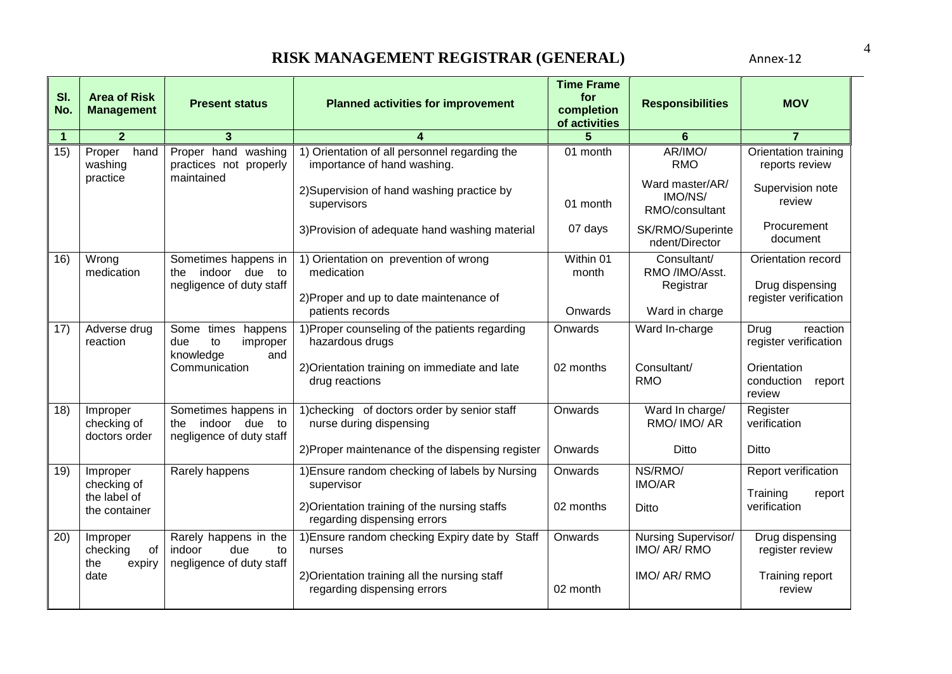| SI.<br>No.           | <b>Area of Risk</b><br><b>Management</b>    | <b>Present status</b>                                                       | <b>Planned activities for improvement</b>                                                      | <b>Time Frame</b><br>for<br>completion<br>of activities | <b>Responsibilities</b>                      | <b>MOV</b>                                                     |
|----------------------|---------------------------------------------|-----------------------------------------------------------------------------|------------------------------------------------------------------------------------------------|---------------------------------------------------------|----------------------------------------------|----------------------------------------------------------------|
| $\blacktriangleleft$ | $\overline{2}$                              | 3                                                                           |                                                                                                | 5                                                       | 6                                            | $\overline{7}$                                                 |
| 15)                  | Proper<br>hand<br>washing                   | Proper hand washing<br>practices not properly                               | 1) Orientation of all personnel regarding the<br>importance of hand washing.                   | 01 month                                                | AR/IMO/<br><b>RMO</b>                        | Orientation training<br>reports review                         |
|                      | practice                                    | maintained                                                                  | 2) Supervision of hand washing practice by<br>supervisors                                      | 01 month                                                | Ward master/AR/<br>IMO/NS/<br>RMO/consultant | Supervision note<br>review                                     |
|                      |                                             |                                                                             | 3) Provision of adequate hand washing material                                                 | 07 days                                                 | SK/RMO/Superinte<br>ndent/Director           | Procurement<br>document                                        |
| 16)                  | Wrong<br>medication                         | Sometimes happens in<br>indoor due to<br>the<br>negligence of duty staff    | 1) Orientation on prevention of wrong<br>medication<br>2) Proper and up to date maintenance of | Within 01<br>month                                      | Consultant/<br>RMO /IMO/Asst.<br>Registrar   | Orientation record<br>Drug dispensing<br>register verification |
|                      |                                             |                                                                             | patients records                                                                               | Onwards                                                 | Ward in charge                               |                                                                |
| 17)                  | Adverse drug<br>reaction                    | Some times<br>happens<br>due<br>to<br>improper<br>knowledge<br>and          | 1) Proper counseling of the patients regarding<br>hazardous drugs                              | Onwards                                                 | Ward In-charge                               | reaction<br>Drug<br>register verification                      |
|                      |                                             | Communication                                                               | 2) Orientation training on immediate and late<br>drug reactions                                | 02 months                                               | Consultant/<br><b>RMO</b>                    | Orientation<br>conduction<br>report<br>review                  |
| 18)                  | Improper<br>checking of<br>doctors order    | Sometimes happens in<br>indoor due<br>to<br>the<br>negligence of duty staff | 1) checking of doctors order by senior staff<br>nurse during dispensing                        | Onwards                                                 | Ward In charge/<br>RMO/ IMO/ AR              | Register<br>verification                                       |
|                      |                                             |                                                                             | 2) Proper maintenance of the dispensing register                                               | Onwards                                                 | <b>Ditto</b>                                 | Ditto                                                          |
| 19)                  | Improper<br>checking of                     | Rarely happens                                                              | 1) Ensure random checking of labels by Nursing<br>supervisor                                   | Onwards                                                 | NS/RMO/<br><b>IMO/AR</b>                     | Report verification                                            |
|                      | the label of<br>the container               |                                                                             | 2) Orientation training of the nursing staffs<br>regarding dispensing errors                   | 02 months                                               | Ditto                                        | Training<br>report<br>verification                             |
| 20)                  | Improper<br>checking<br>of<br>the<br>expiry | Rarely happens in the<br>due<br>indoor<br>to<br>negligence of duty staff    | 1) Ensure random checking Expiry date by Staff<br>nurses                                       | Onwards                                                 | Nursing Supervisor/<br>IMO/ AR/ RMO          | Drug dispensing<br>register review                             |
|                      | date                                        |                                                                             | 2) Orientation training all the nursing staff<br>regarding dispensing errors                   | 02 month                                                | IMO/ AR/ RMO                                 | Training report<br>review                                      |